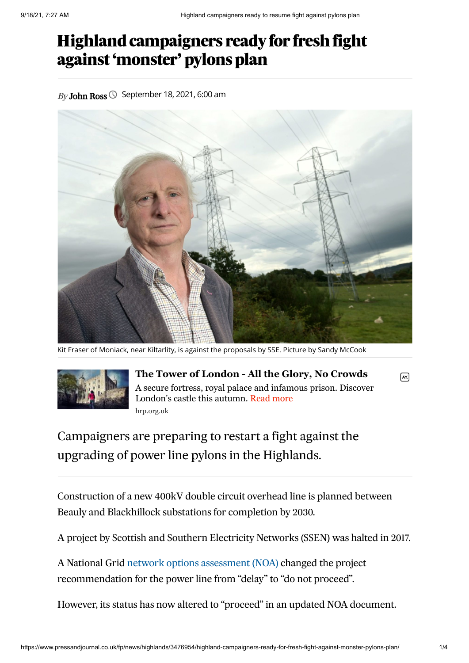## Highland campaigners ready for fresh fight against 'monster' pylons plan

 $B_V$ **[John](https://www.pressandjournal.co.uk/author/johnross/) Ross**  $\odot$  September 18, 2021, 6:00 am



Kit Fraser of Moniack, near Kiltarlity, is against the proposals by SSE. Picture by Sandy McCook



**The Tower of London - All the Glory, No Crowds** A secure fortress, royal palace and infamous prison. Discover London's castle this autumn. Read more hrp.org.uk

Campaigners are preparing to restart a fight against the upgrading of power line pylons in the Highlands.

Construction of a new 400kV double circuit overhead line is planned between Beauly and Blackhillock substations for completion by 2030.

A project by Scottish and Southern Electricity Networks (SSEN) was halted in 2017.

A National Grid network options [assessment](https://www.nationalgrideso.com/document/185881/download) (NOA) changed the project recommendation for the power line from "delay" to "do not proceed".

However, its status has now altered to "proceed" in an updated NOA document.

 $\sqrt{AY}$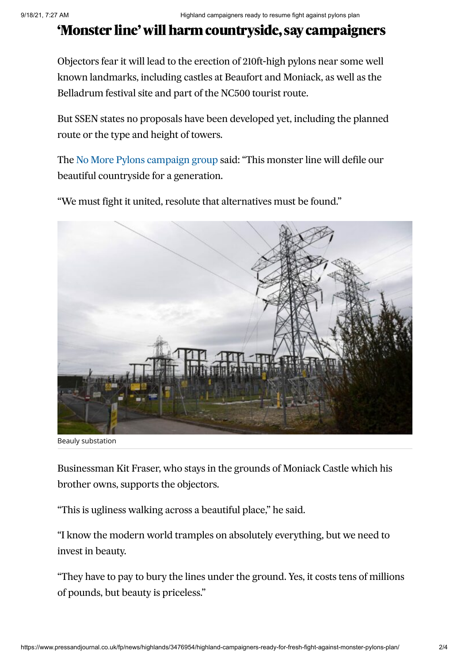## 'Monster line' will harm countryside, say campaigners

Objectors fear it will lead to the erection of 210ft-high pylons near some well known landmarks, including castles at Beaufort and Moniack, as well as the Belladrum festival site and part of the NC500 tourist route.

But SSEN states no proposals have been developed yet, including the planned route or the type and height of towers.

The No More Pylons [campaign](https://nomorepylons.co.uk/) group said: "This monster line will defile our beautiful countryside for a generation.

"We must fight it united, resolute that alternatives must be found."



Beauly substation

Businessman Kit Fraser, who stays in the grounds of Moniack Castle which his brother owns, supports the objectors.

"This is ugliness walking across a beautiful place," he said.

"I know the modern world tramples on absolutely everything, but we need to invest in beauty.

"They have to pay to bury the lines under the ground. Yes, it costs tens of millions of pounds, but beauty is priceless."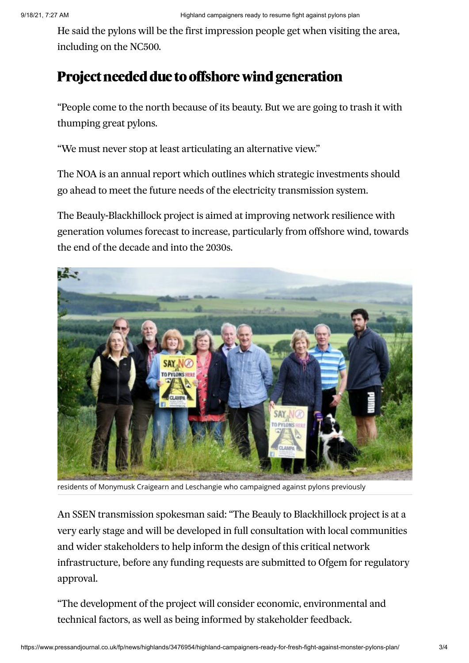He said the pylons will be the first impression people get when visiting the area, including on the NC500.

## Project needed due to offshore wind generation

"People come to the north because of its beauty. But we are going to trash it with thumping great pylons.

"We must never stop at least articulating an alternative view."

The NOA is an annual report which outlines which strategic investments should go ahead to meet the future needs of the electricity transmission system.

The Beauly-Blackhillock project is aimed at improving network resilience with generation volumes forecast to increase, particularly from offshore wind, towards the end of the decade and into the 2030s.



residents of Monymusk Craigearn and Leschangie who campaigned against pylons previously

An SSEN transmission spokesman said: "The Beauly to Blackhillock project is at a very early stage and will be developed in full consultation with local communities and wider stakeholders to help inform the design of this critical network infrastructure, before any funding requests are submitted to Ofgem for regulatory approval.

"The development of the project will consider economic, environmental and technical factors, as well as being informed by stakeholder feedback.